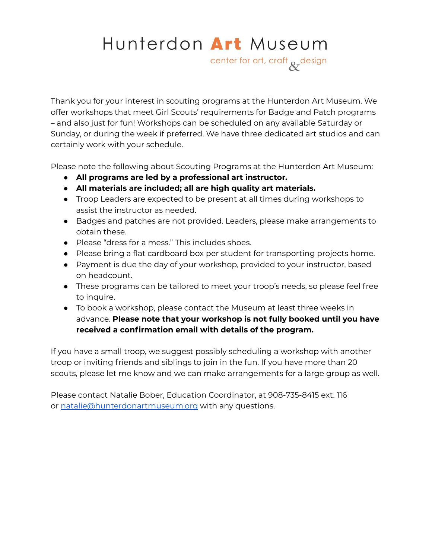# Hunterdon Art Museum

center for art, craft & design

Thank you for your interest in scouting programs at the Hunterdon Art Museum. We offer workshops that meet Girl Scouts' requirements for Badge and Patch programs – and also just for fun! Workshops can be scheduled on any available Saturday or Sunday, or during the week if preferred. We have three dedicated art studios and can certainly work with your schedule.

Please note the following about Scouting Programs at the Hunterdon Art Museum:

- **● All programs are led by a professional art instructor.**
- **● All materials are included; all are high quality art materials.**
- Troop Leaders are expected to be present at all times during workshops to assist the instructor as needed.
- Badges and patches are not provided. Leaders, please make arrangements to obtain these.
- Please "dress for a mess." This includes shoes.
- Please bring a flat cardboard box per student for transporting projects home.
- Payment is due the day of your workshop, provided to your instructor, based on headcount.
- These programs can be tailored to meet your troop's needs, so please feel free to inquire.
- To book a workshop, please contact the Museum at least three weeks in advance. **Please note that your workshop is not fully booked until you have received a confirmation email with details of the program.**

If you have a small troop, we suggest possibly scheduling a workshop with another troop or inviting friends and siblings to join in the fun. If you have more than 20 scouts, please let me know and we can make arrangements for a large group as well.

Please contact Natalie Bober, Education Coordinator, at 908-735-8415 ext. 116 or [natalie@hunterdonartmuseum.org](mailto:natalie@hunterdonartmuseum.org) with any questions.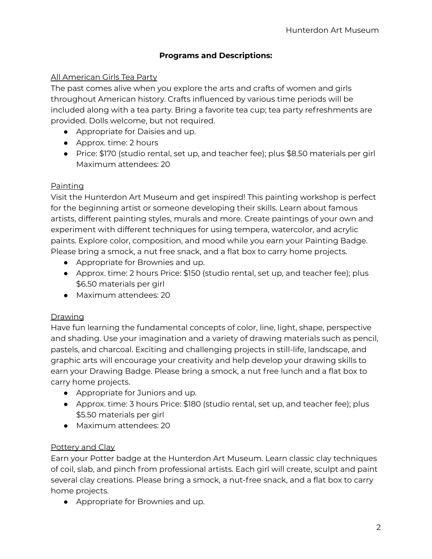#### **Programs and Descriptions:**

#### All American Girls Tea Party

The past comes alive when you explore the arts and crafts of women and girls throughout American history. Crafts influenced by various time periods will be included along with a tea party. Bring a favorite tea cup; tea party refreshments are provided. Dolls welcome, but not required.

- Appropriate for Daisies and up.
- Approx. time: 2 hours
- Price: \$170 (studio rental, set up, and teacher fee); plus \$8.50 materials per girl Maximum attendees: 20

#### Painting

Visit the Hunterdon Art Museum and get inspired! This painting workshop is perfect for the beginning artist or someone developing their skills. Learn about famous artists, different painting styles, murals and more. Create paintings of your own and experiment with different techniques for using tempera, watercolor, and acrylic paints. Explore color, composition, and mood while you earn your Painting Badge. Please bring a smock, a nut free snack, and a flat box to carry home projects.

- Appropriate for Brownies and up.
- Approx. time: 2 hours Price: \$150 (studio rental, set up, and teacher fee); plus \$6.50 materials per girl
- Maximum attendees: 20

#### **Drawing**

Have fun learning the fundamental concepts of color, line, light, shape, perspective and shading. Use your imagination and a variety of drawing materials such as pencil, pastels, and charcoal. Exciting and challenging projects in still-life, landscape, and graphic arts will encourage your creativity and help develop your drawing skills to earn your Drawing Badge. Please bring a smock, a nut free lunch and a flat box to carry home projects.

- Appropriate for Juniors and up.
- Approx. time: 3 hours Price: \$180 (studio rental, set up, and teacher fee); plus \$5.50 materials per girl
- Maximum attendees: 20

#### Pottery and Clay

Earn your Potter badge at the Hunterdon Art Museum. Learn classic clay techniques of coil, slab, and pinch from professional artists. Each girl will create, sculpt and paint several clay creations. Please bring a smock, a nut-free snack, and a flat box to carry home projects.

● Appropriate for Brownies and up.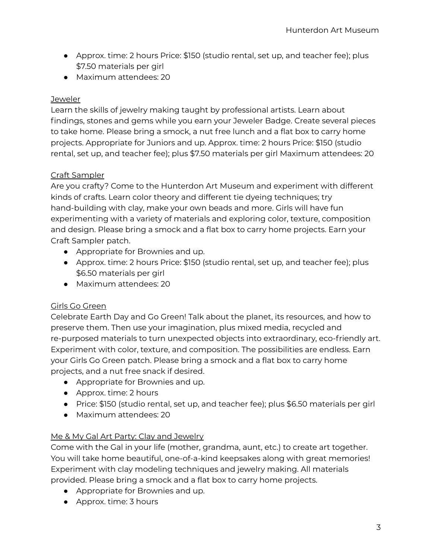- Approx. time: 2 hours Price: \$150 (studio rental, set up, and teacher fee); plus \$7.50 materials per girl
- Maximum attendees: 20

## **Jeweler**

Learn the skills of jewelry making taught by professional artists. Learn about findings, stones and gems while you earn your Jeweler Badge. Create several pieces to take home. Please bring a smock, a nut free lunch and a flat box to carry home projects. Appropriate for Juniors and up. Approx. time: 2 hours Price: \$150 (studio rental, set up, and teacher fee); plus \$7.50 materials per girl Maximum attendees: 20

## Craft Sampler

Are you crafty? Come to the Hunterdon Art Museum and experiment with different kinds of crafts. Learn color theory and different tie dyeing techniques; try hand-building with clay, make your own beads and more. Girls will have fun experimenting with a variety of materials and exploring color, texture, composition and design. Please bring a smock and a flat box to carry home projects. Earn your Craft Sampler patch.

- Appropriate for Brownies and up.
- Approx. time: 2 hours Price: \$150 (studio rental, set up, and teacher fee); plus \$6.50 materials per girl
- Maximum attendees: 20

## Girls Go Green

Celebrate Earth Day and Go Green! Talk about the planet, its resources, and how to preserve them. Then use your imagination, plus mixed media, recycled and re-purposed materials to turn unexpected objects into extraordinary, eco-friendly art. Experiment with color, texture, and composition. The possibilities are endless. Earn your Girls Go Green patch. Please bring a smock and a flat box to carry home projects, and a nut free snack if desired.

- Appropriate for Brownies and up.
- Approx. time: 2 hours
- Price: \$150 (studio rental, set up, and teacher fee); plus \$6.50 materials per girl
- Maximum attendees: 20

## Me & My Gal Art Party: Clay and Jewelry

Come with the Gal in your life (mother, grandma, aunt, etc.) to create art together. You will take home beautiful, one-of-a-kind keepsakes along with great memories! Experiment with clay modeling techniques and jewelry making. All materials provided. Please bring a smock and a flat box to carry home projects.

- Appropriate for Brownies and up.
- Approx. time: 3 hours